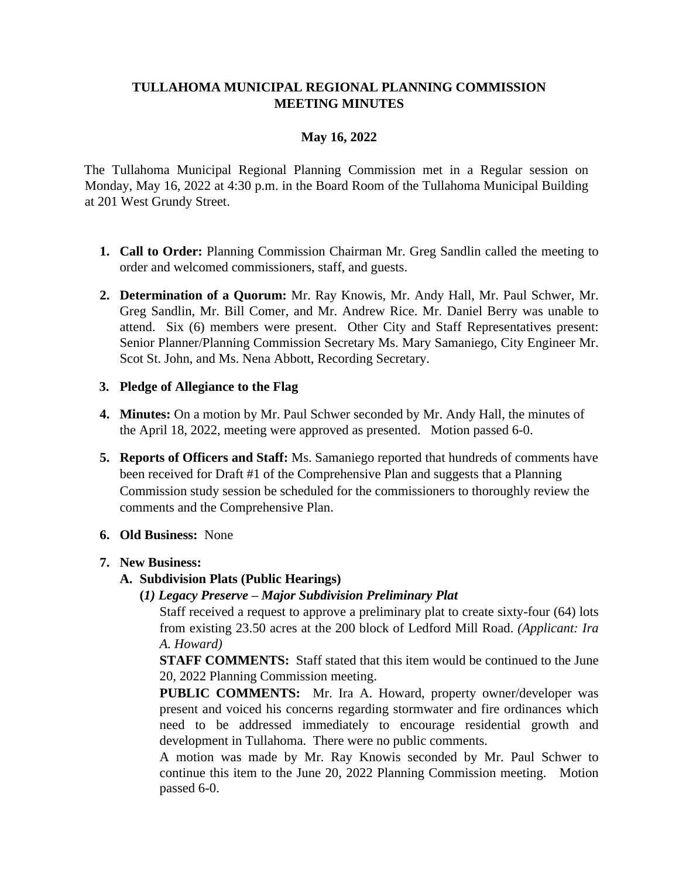## **TULLAHOMA MUNICIPAL REGIONAL PLANNING COMMISSION MEETING MINUTES**

# **May 16, 2022**

The Tullahoma Municipal Regional Planning Commission met in a Regular session on Monday, May 16, 2022 at 4:30 p.m. in the Board Room of the Tullahoma Municipal Building at 201 West Grundy Street.

- **1. Call to Order:** Planning Commission Chairman Mr. Greg Sandlin called the meeting to order and welcomed commissioners, staff, and guests.
- **2. Determination of a Quorum:** Mr. Ray Knowis, Mr. Andy Hall, Mr. Paul Schwer, Mr. Greg Sandlin, Mr. Bill Comer, and Mr. Andrew Rice. Mr. Daniel Berry was unable to attend. Six (6) members were present. Other City and Staff Representatives present: Senior Planner/Planning Commission Secretary Ms. Mary Samaniego, City Engineer Mr. Scot St. John, and Ms. Nena Abbott, Recording Secretary.

### **3. Pledge of Allegiance to the Flag**

- **4. Minutes:** On a motion by Mr. Paul Schwer seconded by Mr. Andy Hall, the minutes of the April 18, 2022, meeting were approved as presented. Motion passed 6-0.
- **5. Reports of Officers and Staff:** Ms. Samaniego reported that hundreds of comments have been received for Draft #1 of the Comprehensive Plan and suggests that a Planning Commission study session be scheduled for the commissioners to thoroughly review the comments and the Comprehensive Plan.
- **6. Old Business:** None

## **7. New Business:**

## **A. Subdivision Plats (Public Hearings)**

**(***1) Legacy Preserve – Major Subdivision Preliminary Plat*

Staff received a request to approve a preliminary plat to create sixty-four (64) lots from existing 23.50 acres at the 200 block of Ledford Mill Road. *(Applicant: Ira A. Howard)*

**STAFF COMMENTS:** Staff stated that this item would be continued to the June 20, 2022 Planning Commission meeting.

**PUBLIC COMMENTS:** Mr. Ira A. Howard, property owner/developer was present and voiced his concerns regarding stormwater and fire ordinances which need to be addressed immediately to encourage residential growth and development in Tullahoma. There were no public comments.

A motion was made by Mr. Ray Knowis seconded by Mr. Paul Schwer to continue this item to the June 20, 2022 Planning Commission meeting. Motion passed 6-0.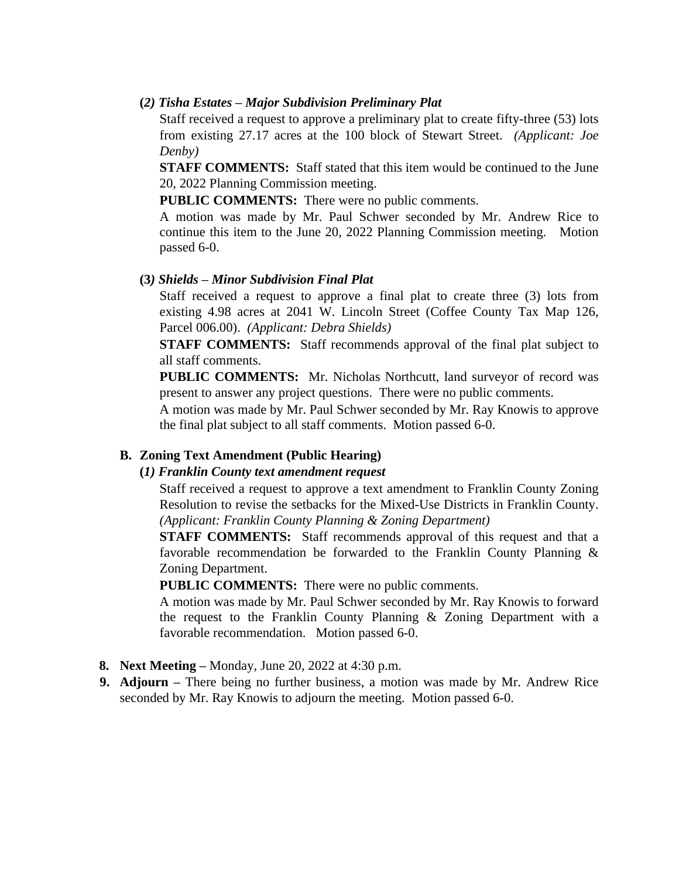#### **(***2) Tisha Estates – Major Subdivision Preliminary Plat*

Staff received a request to approve a preliminary plat to create fifty-three (53) lots from existing 27.17 acres at the 100 block of Stewart Street. *(Applicant: Joe Denby)*

**STAFF COMMENTS:** Staff stated that this item would be continued to the June 20, 2022 Planning Commission meeting.

**PUBLIC COMMENTS:** There were no public comments.

A motion was made by Mr. Paul Schwer seconded by Mr. Andrew Rice to continue this item to the June 20, 2022 Planning Commission meeting. Motion passed 6-0.

#### **(3***) Shields – Minor Subdivision Final Plat*

Staff received a request to approve a final plat to create three (3) lots from existing 4.98 acres at 2041 W. Lincoln Street (Coffee County Tax Map 126, Parcel 006.00). *(Applicant: Debra Shields)*

**STAFF COMMENTS:** Staff recommends approval of the final plat subject to all staff comments.

**PUBLIC COMMENTS:** Mr. Nicholas Northcutt, land surveyor of record was present to answer any project questions. There were no public comments.

A motion was made by Mr. Paul Schwer seconded by Mr. Ray Knowis to approve the final plat subject to all staff comments. Motion passed 6-0.

### **B. Zoning Text Amendment (Public Hearing)**

#### **(***1) Franklin County text amendment request*

Staff received a request to approve a text amendment to Franklin County Zoning Resolution to revise the setbacks for the Mixed-Use Districts in Franklin County. *(Applicant: Franklin County Planning & Zoning Department)*

**STAFF COMMENTS:** Staff recommends approval of this request and that a favorable recommendation be forwarded to the Franklin County Planning & Zoning Department.

**PUBLIC COMMENTS:** There were no public comments.

A motion was made by Mr. Paul Schwer seconded by Mr. Ray Knowis to forward the request to the Franklin County Planning & Zoning Department with a favorable recommendation. Motion passed 6-0.

- **8. Next Meeting –** Monday, June 20, 2022 at 4:30 p.m.
- **9. Adjourn –** There being no further business, a motion was made by Mr. Andrew Rice seconded by Mr. Ray Knowis to adjourn the meeting. Motion passed 6-0.